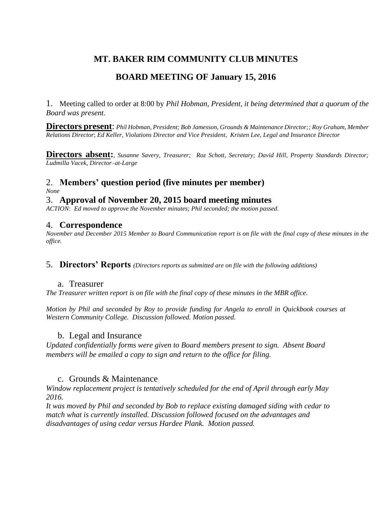# **MT. BAKER RIM COMMUNITY CLUB MINUTES**

## **BOARD MEETING OF January 15, 2016**

1. Meeting called to order at 8:00 by *Phil Hobman, President, it being determined that a quorum of the Board was present.* 

**Directors present**: *Phil Hobman, President; Bob Jamesson, Grounds & Maintenance Director;; Roy Graham, Member Relations Director*; *Ed Keller, Violations Director and Vice President, Kristen Lee, Legal and Insurance Director*

**Directors absent:***, Susanne Savery, Treasurer; Roz Schott, Secretary; David Hill, Property Standards Director; Ludmilla Vacek, Director–at-Large*

# 2. **Members' question period (five minutes per member)**

*None*

#### 3. **Approval of November 20, 2015 board meeting minutes**

*ACTION: Ed moved to approve the November minutes; Phil seconded; the motion passed.*

#### 4. **Correspondence**

*November and December 2015 Member to Board Communication report is on file with the final copy of these minutes in the office.* 

5. **Directors' Reports** *(Directors reports as submitted are on file with the following additions)*

#### a. Treasurer

*The Treasurer written report is on file with the final copy of these minutes in the MBR office.*

*Motion by Phil and seconded by Roy to provide funding for Angela to enroll in Quickbook courses at Western Community College. Discussion followed. Motion passed.*

#### b. Legal and Insurance

*Updated confidentially forms were given to Board members present to sign. Absent Board members will be emailed a copy to sign and return to the office for filing.* 

#### c. Grounds & Maintenance

*Window replacement project is tentatively scheduled for the end of April through early May 2016.* 

*It was moved by Phil and seconded by Bob to replace existing damaged siding with cedar to match what is currently installed. Discussion followed focused on the advantages and disadvantages of using cedar versus Hardee Plank. Motion passed.*